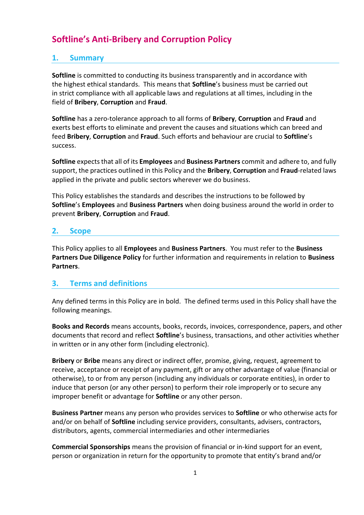# **Softline's Anti-Bribery and Corruption Policy**

# **1. Summary**

**Softline** is committed to conducting its business transparently and in accordance with the highest ethical standards. This means that **Softline**'s business must be carried out in strict compliance with all applicable laws and regulations at all times, including in the field of **Bribery**, **Corruption** and **Fraud**.

**Softline** has a zero-tolerance approach to all forms of **Bribery**, **Corruption** and **Fraud** and exerts best efforts to eliminate and prevent the causes and situations which can breed and feed **Bribery**, **Corruption** and **Fraud**. Such efforts and behaviour are crucial to **Softline**'s success.

**Softline** expects that all of its **Employees** and **Business Partners** commit and adhere to, and fully support, the practices outlined in this Policy and the **Bribery**, **Corruption** and **Fraud**-related laws applied in the private and public sectors wherever we do business.

This Policy establishes the standards and describes the instructions to be followed by **Softline**'s **Employees** and **Business Partners** when doing business around the world in order to prevent **Bribery**, **Corruption** and **Fraud**.

## **2. Scope**

This Policy applies to all **Employees** and **Business Partners**. You must refer to the **Business Partners Due Diligence Policy** for further information and requirements in relation to **Business Partners**.

# **3. Terms and definitions**

Any defined terms in this Policy are in bold. The defined terms used in this Policy shall have the following meanings.

**Books and Records** means accounts, books, records, invoices, correspondence, papers, and other documents that record and reflect **Softline**'s business, transactions, and other activities whether in written or in any other form (including electronic).

**Bribery** or **Bribe** means any direct or indirect offer, promise, giving, request, agreement to receive, acceptance or receipt of any payment, gift or any other advantage of value (financial or otherwise), to or from any person (including any individuals or corporate entities), in order to induce that person (or any other person) to perform their role improperly or to secure any improper benefit or advantage for **Softline** or any other person.

**Business Partner** means any person who provides services to **Softline** or who otherwise acts for and/or on behalf of **Softline** including service providers, consultants, advisers, contractors, distributors, agents, commercial intermediaries and other intermediaries

**Commercial Sponsorships** means the provision of financial or in-kind support for an event, person or organization in return for the opportunity to promote that entity's brand and/or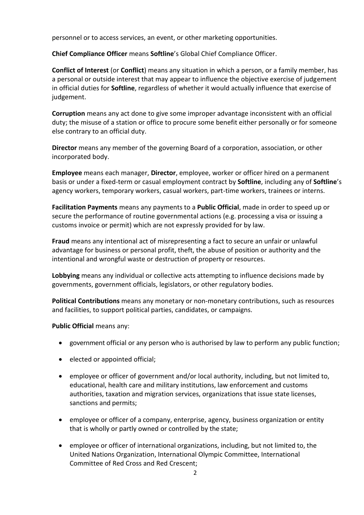personnel or to access services, an event, or other marketing opportunities.

**Chief Compliance Officer** means **Softline**'s Global Chief Compliance Officer.

**Conflict of Interest** (or **Conflict**) means any situation in which a person, or a family member, has a personal or outside interest that may appear to influence the objective exercise of judgement in official duties for **Softline**, regardless of whether it would actually influence that exercise of judgement.

**Corruption** means any act done to give some improper advantage inconsistent with an official duty; the misuse of a station or office to procure some benefit either personally or for someone else contrary to an official duty.

**Director** means any member of the governing Board of a corporation, association, or other incorporated body.

**Employee** means each manager, **Director**, employee, worker or officer hired on a permanent basis or under a fixed-term or casual employment contract by **Softline**, including any of **Softline**'s agency workers, temporary workers, casual workers, part-time workers, trainees or interns.

**Facilitation Payments** means any payments to a **Public Official**, made in order to speed up or secure the performance of routine governmental actions (e.g. processing a visa or issuing a customs invoice or permit) which are not expressly provided for by law.

**Fraud** means any intentional act of misrepresenting a fact to secure an unfair or unlawful advantage for business or personal profit, theft, the abuse of position or authority and the intentional and wrongful waste or destruction of property or resources.

**Lobbying** means any individual or collective acts attempting to influence decisions made by governments, government officials, legislators, or other regulatory bodies.

**Political Contributions** means any monetary or non-monetary contributions, such as resources and facilities, to support political parties, candidates, or campaigns.

**Public Official** means any:

- government official or any person who is authorised by law to perform any public function;
- elected or appointed official;
- employee or officer of government and/or local authority, including, but not limited to, educational, health care and military institutions, law enforcement and customs authorities, taxation and migration services, organizations that issue state licenses, sanctions and permits;
- employee or officer of a company, enterprise, agency, business organization or entity that is wholly or partly owned or controlled by the state;
- employee or officer of international organizations, including, but not limited to, the United Nations Organization, International Olympic Committee, International Committee of Red Cross and Red Crescent;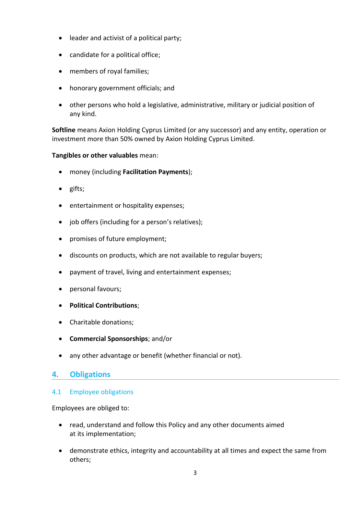- leader and activist of a political party;
- candidate for a political office;
- members of royal families;
- honorary government officials; and
- other persons who hold a legislative, administrative, military or judicial position of any kind.

**Softline** means Axion Holding Cyprus Limited (or any successor) and any entity, operation or investment more than 50% owned by Axion Holding Cyprus Limited.

#### **Tangibles or other valuables** mean:

- money (including **Facilitation Payments**);
- gifts;
- entertainment or hospitality expenses;
- job offers (including for a person's relatives);
- promises of future employment;
- discounts on products, which are not available to regular buyers;
- payment of travel, living and entertainment expenses;
- personal favours;
- **Political Contributions**;
- Charitable donations;
- **Commercial Sponsorships**; and/or
- any other advantage or benefit (whether financial or not).

# **4. Obligations**

#### 4.1 Employee obligations

Employees are obliged to:

- read, understand and follow this Policy and any other documents aimed at its implementation;
- demonstrate ethics, integrity and accountability at all times and expect the same from others;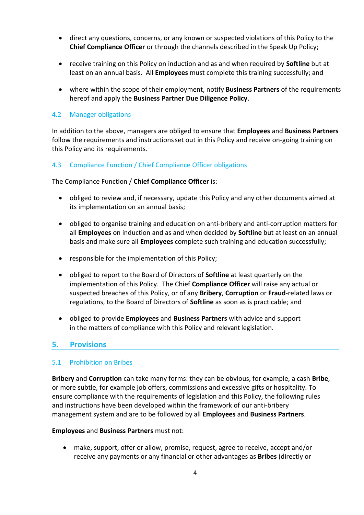- direct any questions, concerns, or any known or suspected violations of this Policy to the **Chief Compliance Officer** or through the channels described in the Speak Up Policy;
- receive training on this Policy on induction and as and when required by **Softline** but at least on an annual basis. All **Employees** must complete this training successfully; and
- where within the scope of their employment, notify **Business Partners** of the requirements hereof and apply the **Business Partner Due Diligence Policy**.

### 4.2 Manager obligations

In addition to the above, managers are obliged to ensure that **Employees** and **Business Partners** follow the requirements and instructionsset out in this Policy and receive on-going training on this Policy and its requirements.

### 4.3 Compliance Function / Chief Compliance Officer obligations

The Compliance Function / **Chief Compliance Officer** is:

- obliged to review and, if necessary, update this Policy and any other documents aimed at its implementation on an annual basis;
- obliged to organise training and education on anti-bribery and anti-corruption matters for all **Employees** on induction and as and when decided by **Softline** but at least on an annual basis and make sure all **Employees** complete such training and education successfully;
- responsible for the implementation of this Policy;
- obliged to report to the Board of Directors of **Softline** at least quarterly on the implementation of this Policy. The Chief **Compliance Officer** will raise any actual or suspected breaches of this Policy, or of any **Bribery**, **Corruption** or **Fraud**-related laws or regulations, to the Board of Directors of **Softline** as soon as is practicable; and
- obliged to provide **Employees** and **Business Partners** with advice and support in the matters of compliance with this Policy and relevant legislation.

### **5. Provisions**

#### 5.1 Prohibition on Bribes

**Bribery** and **Corruption** can take many forms: they can be obvious, for example, a cash **Bribe**, or more subtle, for example job offers, commissions and excessive gifts or hospitality. To ensure compliance with the requirements of legislation and this Policy, the following rules and instructions have been developed within the framework of our anti-bribery management system and are to be followed by all **Employees** and **Business Partners**.

#### **Employees** and **Business Partners** must not:

 make, support, offer or allow, promise, request, agree to receive, accept and/or receive any payments or any financial or other advantages as **Bribes** (directly or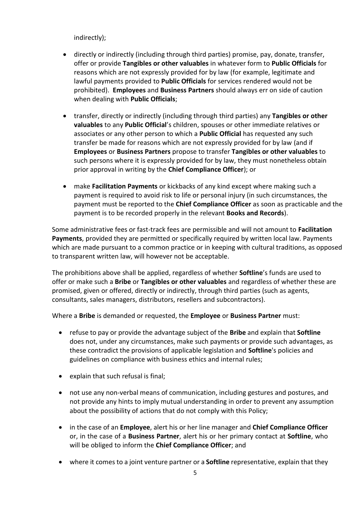indirectly);

- directly or indirectly (including through third parties) promise, pay, donate, transfer, offer or provide **Tangibles or other valuables** in whatever form to **Public Officials** for reasons which are not expressly provided for by law (for example, legitimate and lawful payments provided to **Public Officials** for services rendered would not be prohibited). **Employees** and **Business Partners** should always err on side of caution when dealing with **Public Officials**;
- transfer, directly or indirectly (including through third parties) any **Tangibles or other valuables** to any **Public Official**'s children, spouses or other immediate relatives or associates or any other person to which a **Public Official** has requested any such transfer be made for reasons which are not expressly provided for by law (and if **Employees** or **Business Partners** propose to transfer **Tangibles or other valuables** to such persons where it is expressly provided for by law, they must nonetheless obtain prior approval in writing by the **Chief Compliance Officer**); or
- make **Facilitation Payments** or kickbacks of any kind except where making such a payment is required to avoid risk to life or personal injury (in such circumstances, the payment must be reported to the **Chief Compliance Officer** as soon as practicable and the payment is to be recorded properly in the relevant **Books and Records**).

Some administrative fees or fast-track fees are permissible and will not amount to **Facilitation Payments**, provided they are permitted or specifically required by written local law. Payments which are made pursuant to a common practice or in keeping with cultural traditions, as opposed to transparent written law, will however not be acceptable.

The prohibitions above shall be applied, regardless of whether **Softline**'s funds are used to offer or make such a **Bribe** or **Tangibles or other valuables** and regardless of whether these are promised, given or offered, directly or indirectly, through third parties (such as agents, consultants, sales managers, distributors, resellers and subcontractors).

Where a **Bribe** is demanded or requested, the **Employee** or **Business Partner** must:

- refuse to pay or provide the advantage subject of the **Bribe** and explain that **Softline** does not, under any circumstances, make such payments or provide such advantages, as these contradict the provisions of applicable legislation and **Softline**'s policies and guidelines on compliance with business ethics and internal rules;
- explain that such refusal is final;
- not use any non-verbal means of communication, including gestures and postures, and not provide any hints to imply mutual understanding in order to prevent any assumption about the possibility of actions that do not comply with this Policy;
- in the case of an **Employee**, alert his or her line manager and **Chief Compliance Officer** or, in the case of a **Business Partner**, alert his or her primary contact at **Softline**, who will be obliged to inform the **Chief Compliance Officer**; and
- where it comes to a joint venture partner or a **Softline** representative, explain that they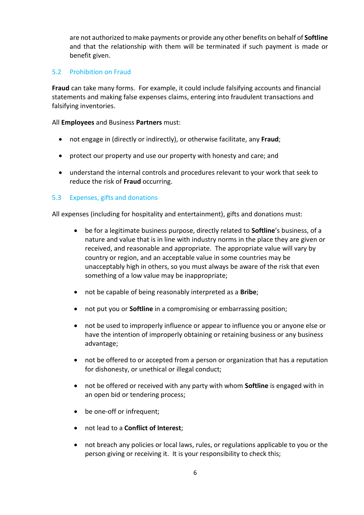are not authorized to make payments or provide any other benefits on behalf of **Softline**  and that the relationship with them will be terminated if such payment is made or benefit given.

#### 5.2 Prohibition on Fraud

**Fraud** can take many forms. For example, it could include falsifying accounts and financial statements and making false expenses claims, entering into fraudulent transactions and falsifying inventories.

#### All **Employees** and Business **Partners** must:

- not engage in (directly or indirectly), or otherwise facilitate, any **Fraud**;
- protect our property and use our property with honesty and care; and
- understand the internal controls and procedures relevant to your work that seek to reduce the risk of **Fraud** occurring.

#### 5.3 Expenses, gifts and donations

All expenses (including for hospitality and entertainment), gifts and donations must:

- be for a legitimate business purpose, directly related to **Softline**'s business, of a nature and value that is in line with industry norms in the place they are given or received, and reasonable and appropriate. The appropriate value will vary by country or region, and an acceptable value in some countries may be unacceptably high in others, so you must always be aware of the risk that even something of a low value may be inappropriate;
- not be capable of being reasonably interpreted as a **Bribe**;
- not put you or **Softline** in a compromising or embarrassing position;
- not be used to improperly influence or appear to influence you or anyone else or have the intention of improperly obtaining or retaining business or any business advantage;
- not be offered to or accepted from a person or organization that has a reputation for dishonesty, or unethical or illegal conduct;
- not be offered or received with any party with whom **Softline** is engaged with in an open bid or tendering process;
- be one-off or infrequent;
- not lead to a **Conflict of Interest**;
- not breach any policies or local laws, rules, or regulations applicable to you or the person giving or receiving it. It is your responsibility to check this;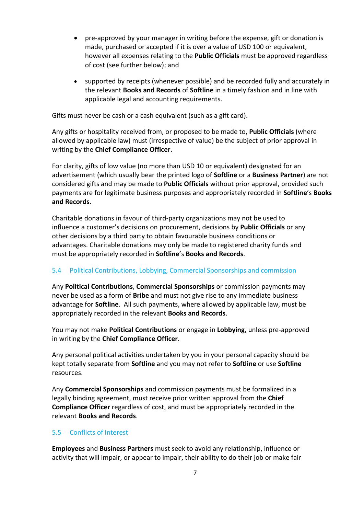- pre-approved by your manager in writing before the expense, gift or donation is made, purchased or accepted if it is over a value of USD 100 or equivalent, however all expenses relating to the **Public Officials** must be approved regardless of cost (see further below); and
- supported by receipts (whenever possible) and be recorded fully and accurately in the relevant **Books and Records** of **Softline** in a timely fashion and in line with applicable legal and accounting requirements.

Gifts must never be cash or a cash equivalent (such as a gift card).

Any gifts or hospitality received from, or proposed to be made to, **Public Officials** (where allowed by applicable law) must (irrespective of value) be the subject of prior approval in writing by the **Chief Compliance Officer**.

For clarity, gifts of low value (no more than USD 10 or equivalent) designated for an advertisement (which usually bear the printed logo of **Softline** or a **Business Partner**) are not considered gifts and may be made to **Public Officials** without prior approval, provided such payments are for legitimate business purposes and appropriately recorded in **Softline**'s **Books and Records**.

Charitable donations in favour of third-party organizations may not be used to influence a customer's decisions on procurement, decisions by **Public Officials** or any other decisions by a third party to obtain favourable business conditions or advantages. Charitable donations may only be made to registered charity funds and must be appropriately recorded in **Softline**'s **Books and Records**.

### 5.4 Political Contributions, Lobbying, Commercial Sponsorships and commission

Any **Political Contributions**, **Commercial Sponsorships** or commission payments may never be used as a form of **Bribe** and must not give rise to any immediate business advantage for **Softline**. All such payments, where allowed by applicable law, must be appropriately recorded in the relevant **Books and Records**.

You may not make **Political Contributions** or engage in **Lobbying**, unless pre-approved in writing by the **Chief Compliance Officer**.

Any personal political activities undertaken by you in your personal capacity should be kept totally separate from **Softline** and you may not refer to **Softline** or use **Softline**  resources.

Any **Commercial Sponsorships** and commission payments must be formalized in a legally binding agreement, must receive prior written approval from the **Chief Compliance Officer** regardless of cost, and must be appropriately recorded in the relevant **Books and Records**.

### 5.5 Conflicts of Interest

**Employees** and **Business Partners** must seek to avoid any relationship, influence or activity that will impair, or appear to impair, their ability to do their job or make fair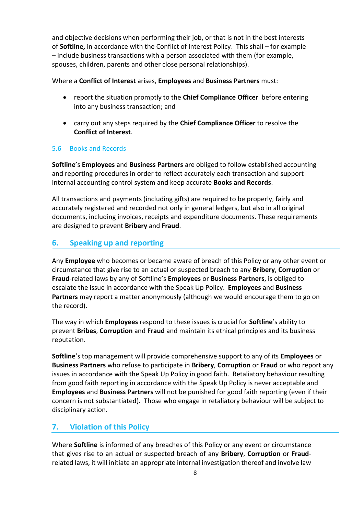and objective decisions when performing their job, or that is not in the best interests of **Softline,** in accordance with the Conflict of Interest Policy. This shall – for example – include business transactions with a person associated with them (for example, spouses, children, parents and other close personal relationships).

#### Where a **Conflict of Interest** arises, **Employees** and **Business Partners** must:

- report the situation promptly to the **Chief Compliance Officer** before entering into any business transaction; and
- carry out any steps required by the **Chief Compliance Officer** to resolve the **Conflict of Interest**.

#### 5.6 Books and Records

**Softline**'s **Employees** and **Business Partners** are obliged to follow established accounting and reporting procedures in order to reflect accurately each transaction and support internal accounting control system and keep accurate **Books and Records**.

All transactions and payments (including gifts) are required to be properly, fairly and accurately registered and recorded not only in general ledgers, but also in all original documents, including invoices, receipts and expenditure documents. These requirements are designed to prevent **Bribery** and **Fraud**.

# **6. Speaking up and reporting**

Any **Employee** who becomes or became aware of breach of this Policy or any other event or circumstance that give rise to an actual or suspected breach to any **Bribery**, **Corruption** or **Fraud**-related laws by any of Softline's **Employees** or **Business Partners**, is obliged to escalate the issue in accordance with the Speak Up Policy. **Employees** and **Business Partners** may report a matter anonymously (although we would encourage them to go on the record).

The way in which **Employees** respond to these issues is crucial for **Softline**'s ability to prevent **Bribes**, **Corruption** and **Fraud** and maintain its ethical principles and its business reputation.

**Softline**'s top management will provide comprehensive support to any of its **Employees** or **Business Partners** who refuse to participate in **Bribery**, **Corruption** or **Fraud** or who report any issues in accordance with the Speak Up Policy in good faith. Retaliatory behaviour resulting from good faith reporting in accordance with the Speak Up Policy is never acceptable and **Employees** and **Business Partners** will not be punished for good faith reporting (even if their concern is not substantiated). Those who engage in retaliatory behaviour will be subject to disciplinary action.

# **7. Violation of this Policy**

Where **Softline** is informed of any breaches of this Policy or any event or circumstance that gives rise to an actual or suspected breach of any **Bribery**, **Corruption** or **Fraud**related laws, it will initiate an appropriate internal investigation thereof and involve law